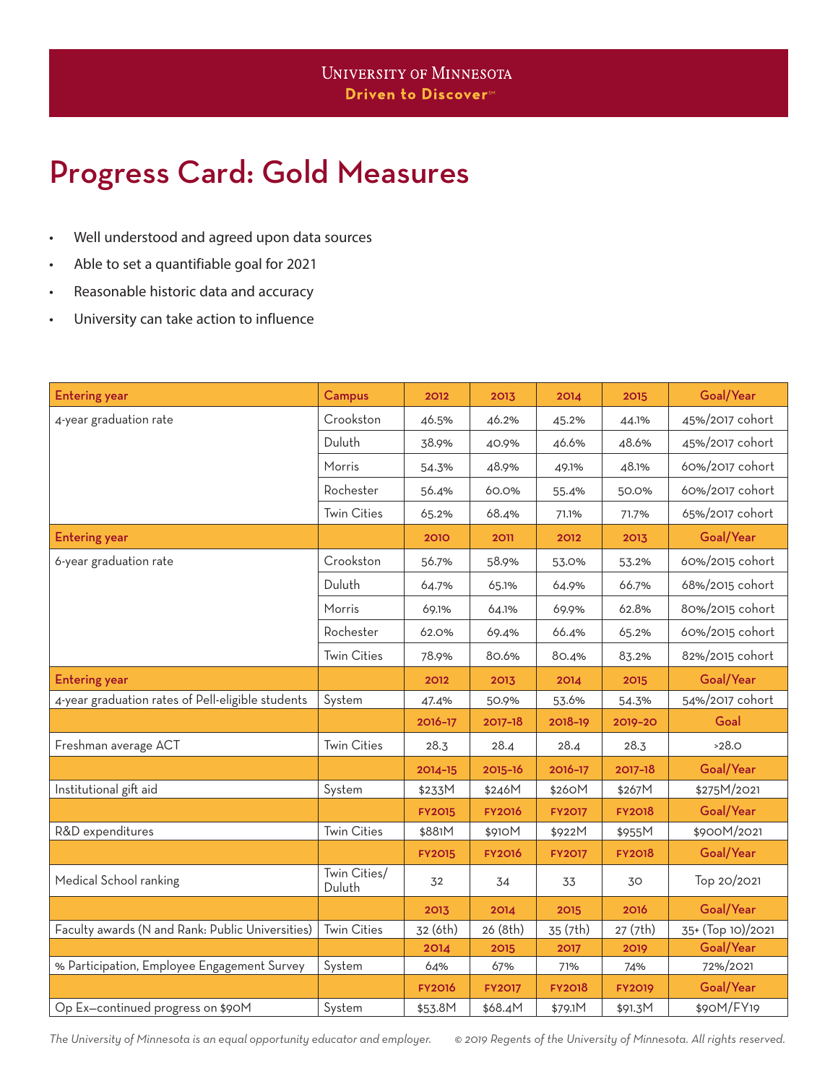## Progress Card: Gold Measures

- Well understood and agreed upon data sources
- Able to set a quantifiable goal for 2021
- Reasonable historic data and accuracy
- University can take action to influence

| <b>Entering year</b>                              | Campus                 | 2012          | 2013          | 2014          | 2015          | Goal/Year         |
|---------------------------------------------------|------------------------|---------------|---------------|---------------|---------------|-------------------|
| 4-year graduation rate                            | Crookston              | 46.5%         | 46.2%         | 45.2%         | 44.1%         | 45%/2017 cohort   |
|                                                   | Duluth                 | 38.9%         | 40.9%         | 46.6%         | 48.6%         | 45%/2017 cohort   |
|                                                   | Morris                 | 54.3%         | 48.9%         | 49.1%         | 48.1%         | 60%/2017 cohort   |
|                                                   | Rochester              | 56.4%         | 60.0%         | 55.4%         | 50.0%         | 60%/2017 cohort   |
|                                                   | <b>Twin Cities</b>     | 65.2%         | 68.4%         | 71.1%         | 71.7%         | 65%/2017 cohort   |
| <b>Entering year</b>                              |                        | 2010          | 2011          | 2012          | 2013          | Goal/Year         |
| 6-year graduation rate                            | Crookston              | 56.7%         | 58.9%         | 53.0%         | 53.2%         | 60%/2015 cohort   |
|                                                   | Duluth                 | 64.7%         | 65.1%         | 64.9%         | 66.7%         | 68%/2015 cohort   |
|                                                   | Morris                 | 69.1%         | 64.1%         | 69.9%         | 62.8%         | 80%/2015 cohort   |
|                                                   | Rochester              | 62.0%         | 69.4%         | 66.4%         | 65.2%         | 60%/2015 cohort   |
|                                                   | <b>Twin Cities</b>     | 78.9%         | 80.6%         | 80.4%         | 83.2%         | 82%/2015 cohort   |
| <b>Entering year</b>                              |                        | 2012          | 2013          | 2014          | 2015          | Goal/Year         |
| 4-year graduation rates of Pell-eligible students | System                 | 47.4%         | 50.9%         | 53.6%         | 54.3%         | 54%/2017 cohort   |
|                                                   |                        | 2016-17       | 2017-18       | 2018-19       | 2019-20       | Goal              |
| Freshman average ACT                              | <b>Twin Cities</b>     | 28.3          | 28.4          | 28.4          | 28.3          | >28.0             |
|                                                   |                        | 2014-15       | 2015-16       | 2016-17       | 2017-18       | Goal/Year         |
| Institutional gift aid                            | System                 | \$233M        | \$246M        | \$260M        | \$267M        | \$275M/2021       |
|                                                   |                        | <b>FY2015</b> | <b>FY2016</b> | <b>FY2017</b> | <b>FY2018</b> | Goal/Year         |
| R&D expenditures                                  | <b>Twin Cities</b>     | \$881M        | \$910M        | \$922M        | \$955M        | \$900M/2021       |
|                                                   |                        | <b>FY2015</b> | <b>FY2016</b> | <b>FY2017</b> | <b>FY2018</b> | Goal/Year         |
| Medical School ranking                            | Twin Cities/<br>Duluth | 32            | 34            | 33            | 30            | Top 20/2021       |
|                                                   |                        | 2013          | 2014          | 2015          | 2016          | Goal/Year         |
| Faculty awards (N and Rank: Public Universities)  | <b>Twin Cities</b>     | 32 (6th)      | 26 (8th)      | 35 (7th)      | 27 (7th)      | 35+ (Top 10)/2021 |
|                                                   |                        | 2014          | 2015          | 2017          | 2019          | Goal/Year         |
| % Participation, Employee Engagement Survey       | System                 | 64%           | 67%           | 71%           | 74%           | 72%/2021          |
|                                                   |                        | <b>FY2016</b> | <b>FY2017</b> | <b>FY2018</b> | <b>FY2019</b> | Goal/Year         |
| Op Ex-continued progress on \$90M                 | System                 | \$53.8M       | \$68.4M       | \$79.1M       | \$91.3M       | \$90M/FY19        |

*The University of Minnesota is an equal opportunity educator and employer. © 2019 Regents of the University of Minnesota. All rights reserved.*